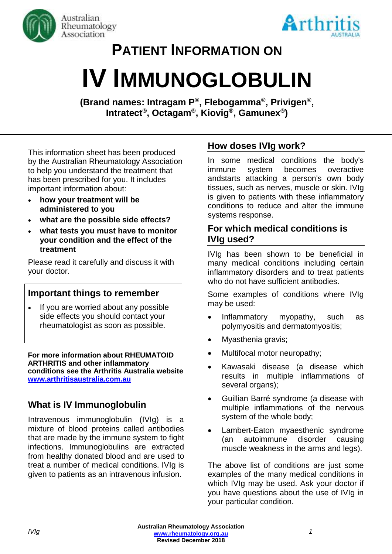



# **PATIENT INFORMATION ON**

# **IV IMMUNOGLOBULIN**

**(Brand names: Intragam P® , Flebogamma® , Privigen® , Intratect® , Octagam® , Kiovig ® , Gamunex® )**

This information sheet has been produced by the Australian Rheumatology Association to help you understand the treatment that has been prescribed for you. It includes important information about:

- **how your treatment will be administered to you**
- **what are the possible side effects?**
- **what tests you must have to monitor your condition and the effect of the treatment**

Please read it carefully and discuss it with your doctor.

# **Important things to remember**

• If you are worried about any possible side effects you should contact your rheumatologist as soon as possible.

**For more information about RHEUMATOID ARTHRITIS and other inflammatory conditions see the Arthritis Australia website [www.arthritisaustralia.com.au](http://www.arthritisaustralia.com.au/)**

# **What is IV Immunoglobulin**

Intravenous immunoglobulin (IVIg) is a mixture of blood proteins called antibodies that are made by the immune system to fight infections. Immunoglobulins are extracted from healthy donated blood and are used to treat a number of medical conditions. IVIg is given to patients as an intravenous infusion.

# **How doses IVIg work?**

In some medical conditions the body's immune system becomes overactive andstarts attacking a person's own body tissues, such as nerves, muscle or skin. IVIg is given to patients with these inflammatory conditions to reduce and alter the immune systems response.

#### **For which medical conditions is IVIg used?**

IVIg has been shown to be beneficial in many medical conditions including certain inflammatory disorders and to treat patients who do not have sufficient antibodies.

Some examples of conditions where IVIg may be used:

- Inflammatory myopathy, such as polymyositis and dermatomyositis;
- Myasthenia gravis;
- Multifocal motor neuropathy;
- Kawasaki disease (a disease which results in multiple inflammations of several organs);
- Guillian Barré syndrome (a disease with multiple inflammations of the nervous system of the whole body;
- Lambert-Eaton myaesthenic syndrome (an autoimmune disorder causing muscle weakness in the arms and legs).

The above list of conditions are just some examples of the many medical conditions in which IVIg may be used. Ask your doctor if you have questions about the use of IVIg in your particular condition.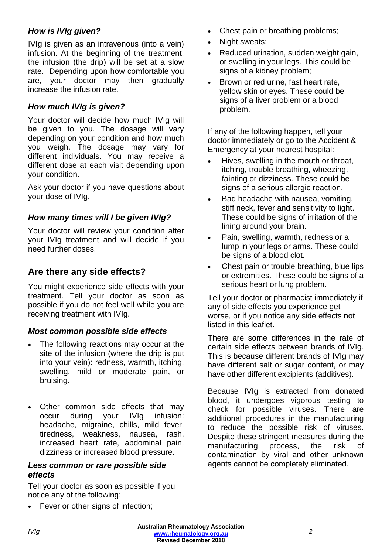#### *How is IVIg given?*

IVIg is given as an intravenous (into a vein) infusion. At the beginning of the treatment, the infusion (the drip) will be set at a slow rate. Depending upon how comfortable you are, your doctor may then gradually increase the infusion rate.

#### *How much IVIg is given?*

Your doctor will decide how much IVIg will be given to you. The dosage will vary depending on your condition and how much you weigh. The dosage may vary for different individuals. You may receive a different dose at each visit depending upon your condition.

Ask your doctor if you have questions about your dose of IVIg.

#### *How many times will I be given IVIg?*

Your doctor will review your condition after your IVIg treatment and will decide if you need further doses.

# **Are there any side effects?**

You might experience side effects with your treatment. Tell your doctor as soon as possible if you do not feel well while you are receiving treatment with IVIg.

#### *Most common possible side effects*

- The following reactions may occur at the site of the infusion (where the drip is put into your vein): redness, warmth, itching, swelling, mild or moderate pain, or bruising.
- Other common side effects that may occur during your IVIg infusion: headache, migraine, chills, mild fever, tiredness, weakness, nausea, rash, increased heart rate, abdominal pain, dizziness or increased blood pressure.

#### *Less common or rare possible side effects*

Tell your doctor as soon as possible if you notice any of the following:

• Fever or other signs of infection:

- Chest pain or breathing problems;
- Night sweats;
- Reduced urination, sudden weight gain, or swelling in your legs. This could be signs of a kidney problem;
- Brown or red urine, fast heart rate, yellow skin or eyes. These could be signs of a liver problem or a blood problem.

If any of the following happen, tell your doctor immediately or go to the Accident & Emergency at your nearest hospital:

- Hives, swelling in the mouth or throat, itching, trouble breathing, wheezing, fainting or dizziness. These could be signs of a serious allergic reaction.
- Bad headache with nausea, vomiting, stiff neck, fever and sensitivity to light. These could be signs of irritation of the lining around your brain.
- Pain, swelling, warmth, redness or a lump in your legs or arms. These could be signs of a blood clot.
- Chest pain or trouble breathing, blue lips or extremities. These could be signs of a serious heart or lung problem.

Tell your doctor or pharmacist immediately if any of side effects you experience get worse, or if you notice any side effects not listed in this leaflet.

There are some differences in the rate of certain side effects between brands of IVIg. This is because different brands of IVIg may have different salt or sugar content, or may have other different excipients (additives).

Because IVIg is extracted from donated blood, it undergoes vigorous testing to check for possible viruses. There are additional procedures in the manufacturing to reduce the possible risk of viruses. Despite these stringent measures during the manufacturing process, the risk of contamination by viral and other unknown agents cannot be completely eliminated.